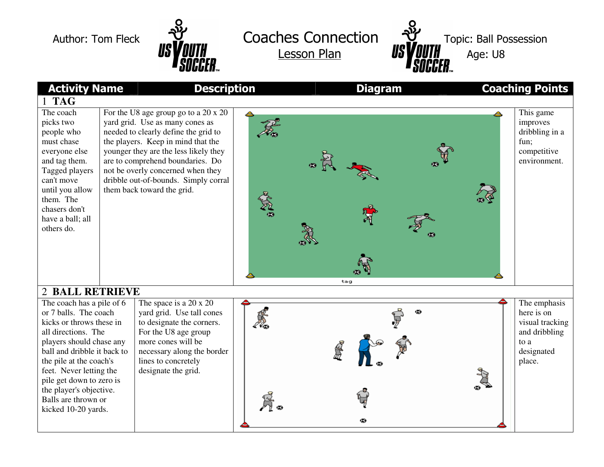

Author: Tom Fleck  $\mathcal{Y}$  Coaches Connection Lesson Plan



| <b>Activity Name</b><br><b>Description</b>                                                                                                                                                                                                                                                                                  |  |                                                                                                                                                                                                                                                                                                                                                      |                 | <b>Diagram</b> |   | <b>Coaching Points</b> |                                                                                                |
|-----------------------------------------------------------------------------------------------------------------------------------------------------------------------------------------------------------------------------------------------------------------------------------------------------------------------------|--|------------------------------------------------------------------------------------------------------------------------------------------------------------------------------------------------------------------------------------------------------------------------------------------------------------------------------------------------------|-----------------|----------------|---|------------------------|------------------------------------------------------------------------------------------------|
| <b>TAG</b>                                                                                                                                                                                                                                                                                                                  |  |                                                                                                                                                                                                                                                                                                                                                      |                 |                |   |                        |                                                                                                |
| The coach<br>picks two<br>people who<br>must chase<br>everyone else<br>and tag them.<br>Tagged players<br>can't move<br>until you allow<br>them. The<br>chasers don't<br>have a ball; all<br>others do.                                                                                                                     |  | For the U8 age group go to a $20 \times 20$<br>yard grid. Use as many cones as<br>needed to clearly define the grid to<br>the players. Keep in mind that the<br>younger they are the less likely they<br>are to comprehend boundaries. Do<br>not be overly concerned when they<br>dribble out-of-bounds. Simply corral<br>them back toward the grid. | ≜<br><b>RAB</b> |                |   |                        | This game<br>improves<br>dribbling in a<br>fun;<br>competitive<br>environment.                 |
| tag<br>2 BALL RETRIEVE                                                                                                                                                                                                                                                                                                      |  |                                                                                                                                                                                                                                                                                                                                                      |                 |                |   |                        |                                                                                                |
| The coach has a pile of 6<br>or 7 balls. The coach<br>kicks or throws these in<br>all directions. The<br>players should chase any<br>ball and dribble it back to<br>the pile at the coach's<br>feet. Never letting the<br>pile get down to zero is<br>the player's objective.<br>Balls are thrown or<br>kicked 10-20 yards. |  | The space is a $20 \times 20$<br>yard grid. Use tall cones<br>to designate the corners.<br>For the U8 age group<br>more cones will be<br>necessary along the border<br>lines to concretely<br>designate the grid.                                                                                                                                    |                 | ⊕              | Φ |                        | The emphasis<br>here is on<br>visual tracking<br>and dribbling<br>to a<br>designated<br>place. |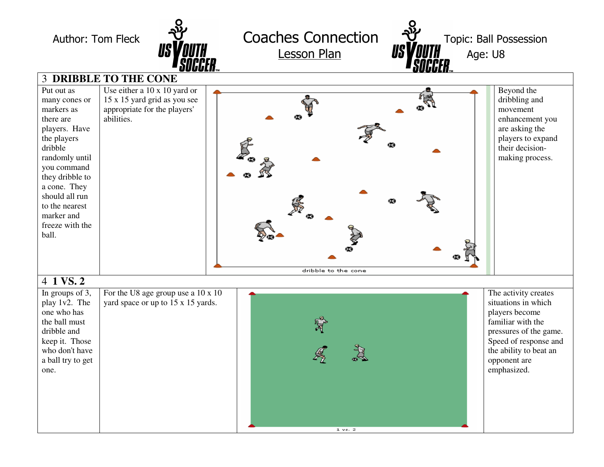